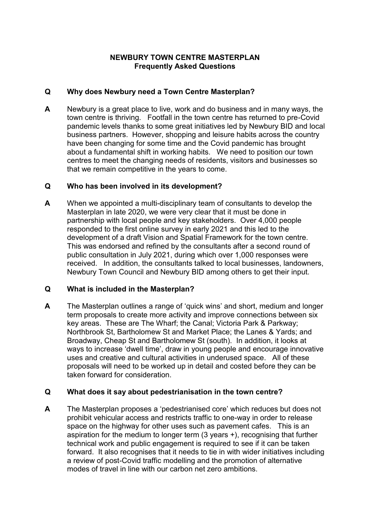## **NEWBURY TOWN CENTRE MASTERPLAN Frequently Asked Questions**

## **Q Why does Newbury need a Town Centre Masterplan?**

**A** Newbury is a great place to live, work and do business and in many ways, the town centre is thriving. Footfall in the town centre has returned to pre-Covid pandemic levels thanks to some great initiatives led by Newbury BID and local business partners. However, shopping and leisure habits across the country have been changing for some time and the Covid pandemic has brought about a fundamental shift in working habits. We need to position our town centres to meet the changing needs of residents, visitors and businesses so that we remain competitive in the years to come.

## **Q Who has been involved in its development?**

**A** When we appointed a multi-disciplinary team of consultants to develop the Masterplan in late 2020, we were very clear that it must be done in partnership with local people and key stakeholders. Over 4,000 people responded to the first online survey in early 2021 and this led to the development of a draft Vision and Spatial Framework for the town centre. This was endorsed and refined by the consultants after a second round of public consultation in July 2021, during which over 1,000 responses were received. In addition, the consultants talked to local businesses, landowners, Newbury Town Council and Newbury BID among others to get their input.

# **Q What is included in the Masterplan?**

**A** The Masterplan outlines a range of 'quick wins' and short, medium and longer term proposals to create more activity and improve connections between six key areas. These are The Wharf; the Canal; Victoria Park & Parkway; Northbrook St, Bartholomew St and Market Place; the Lanes & Yards; and Broadway, Cheap St and Bartholomew St (south). In addition, it looks at ways to increase 'dwell time', draw in young people and encourage innovative uses and creative and cultural activities in underused space. All of these proposals will need to be worked up in detail and costed before they can be taken forward for consideration.

# **Q What does it say about pedestrianisation in the town centre?**

**A** The Masterplan proposes a 'pedestrianised core' which reduces but does not prohibit vehicular access and restricts traffic to one-way in order to release space on the highway for other uses such as pavement cafes. This is an aspiration for the medium to longer term (3 years +), recognising that further technical work and public engagement is required to see if it can be taken forward. It also recognises that it needs to tie in with wider initiatives including a review of post-Covid traffic modelling and the promotion of alternative modes of travel in line with our carbon net zero ambitions.